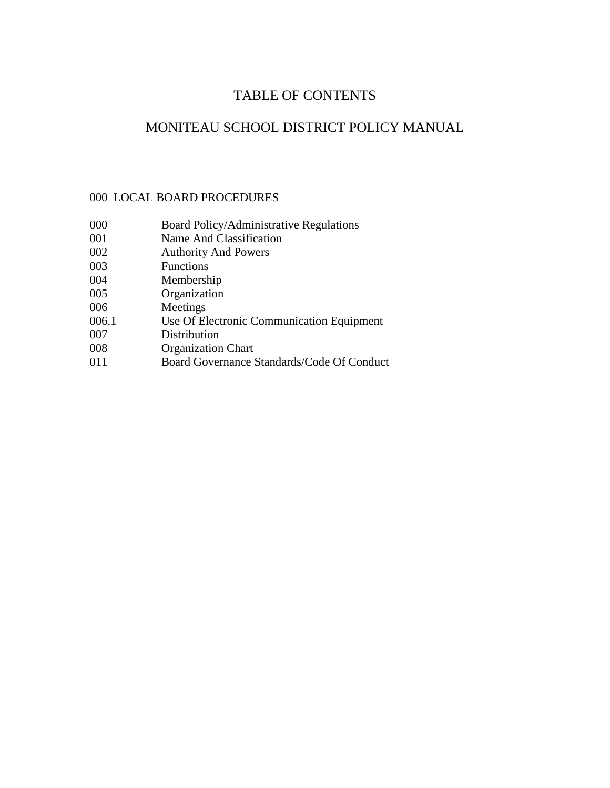# TABLE OF CONTENTS

# MONITEAU SCHOOL DISTRICT POLICY MANUAL

## 000 LOCAL BOARD PROCEDURES

- Board Policy/Administrative Regulations
- Name And Classification
- Authority And Powers
- Functions
- Membership
- Organization
- Meetings
- 006.1 Use Of Electronic Communication Equipment
- Distribution
- Organization Chart
- Board Governance Standards/Code Of Conduct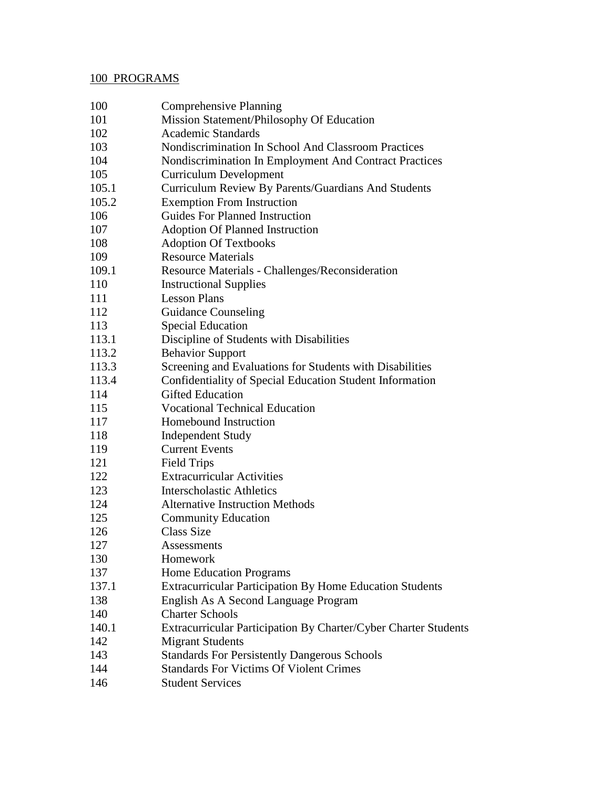# 100 PROGRAMS

| 100   | <b>Comprehensive Planning</b>                                   |
|-------|-----------------------------------------------------------------|
| 101   | Mission Statement/Philosophy Of Education                       |
| 102   | <b>Academic Standards</b>                                       |
| 103   | Nondiscrimination In School And Classroom Practices             |
| 104   | Nondiscrimination In Employment And Contract Practices          |
| 105   | <b>Curriculum Development</b>                                   |
| 105.1 | Curriculum Review By Parents/Guardians And Students             |
| 105.2 | <b>Exemption From Instruction</b>                               |
| 106   | <b>Guides For Planned Instruction</b>                           |
| 107   | <b>Adoption Of Planned Instruction</b>                          |
| 108   | <b>Adoption Of Textbooks</b>                                    |
| 109   | <b>Resource Materials</b>                                       |
| 109.1 | Resource Materials - Challenges/Reconsideration                 |
| 110   | <b>Instructional Supplies</b>                                   |
| 111   | <b>Lesson Plans</b>                                             |
| 112   | <b>Guidance Counseling</b>                                      |
| 113   | <b>Special Education</b>                                        |
| 113.1 | Discipline of Students with Disabilities                        |
| 113.2 | <b>Behavior Support</b>                                         |
| 113.3 | Screening and Evaluations for Students with Disabilities        |
| 113.4 | Confidentiality of Special Education Student Information        |
| 114   | <b>Gifted Education</b>                                         |
| 115   | <b>Vocational Technical Education</b>                           |
| 117   | Homebound Instruction                                           |
| 118   | <b>Independent Study</b>                                        |
| 119   | <b>Current Events</b>                                           |
| 121   | <b>Field Trips</b>                                              |
| 122   | <b>Extracurricular Activities</b>                               |
| 123   | <b>Interscholastic Athletics</b>                                |
| 124   | <b>Alternative Instruction Methods</b>                          |
| 125   | <b>Community Education</b>                                      |
| 126   | <b>Class Size</b>                                               |
| 127   | Assessments                                                     |
| 130   | Homework                                                        |
| 137   | <b>Home Education Programs</b>                                  |
| 137.1 | <b>Extracurricular Participation By Home Education Students</b> |
| 138   | English As A Second Language Program                            |
| 140   | <b>Charter Schools</b>                                          |
| 140.1 | Extracurricular Participation By Charter/Cyber Charter Students |
| 142   | <b>Migrant Students</b>                                         |
| 143   | <b>Standards For Persistently Dangerous Schools</b>             |
| 144   | <b>Standards For Victims Of Violent Crimes</b>                  |
| 146   | <b>Student Services</b>                                         |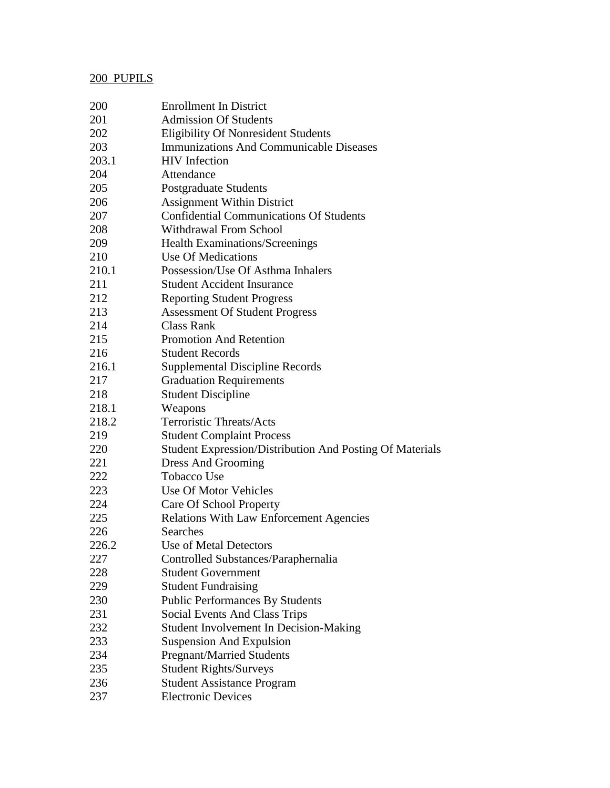# 200 PUPILS

| 200   | <b>Enrollment In District</b>                            |
|-------|----------------------------------------------------------|
| 201   | <b>Admission Of Students</b>                             |
| 202   | <b>Eligibility Of Nonresident Students</b>               |
| 203   | <b>Immunizations And Communicable Diseases</b>           |
| 203.1 | <b>HIV</b> Infection                                     |
| 204   | Attendance                                               |
| 205   | Postgraduate Students                                    |
| 206   | <b>Assignment Within District</b>                        |
| 207   | <b>Confidential Communications Of Students</b>           |
| 208   | <b>Withdrawal From School</b>                            |
| 209   | <b>Health Examinations/Screenings</b>                    |
| 210   | Use Of Medications                                       |
| 210.1 | Possession/Use Of Asthma Inhalers                        |
| 211   | <b>Student Accident Insurance</b>                        |
| 212   | <b>Reporting Student Progress</b>                        |
| 213   | <b>Assessment Of Student Progress</b>                    |
| 214   | Class Rank                                               |
| 215   | <b>Promotion And Retention</b>                           |
| 216   | <b>Student Records</b>                                   |
| 216.1 | <b>Supplemental Discipline Records</b>                   |
| 217   | <b>Graduation Requirements</b>                           |
| 218   | <b>Student Discipline</b>                                |
| 218.1 | Weapons                                                  |
| 218.2 | <b>Terroristic Threats/Acts</b>                          |
| 219   | <b>Student Complaint Process</b>                         |
| 220   | Student Expression/Distribution And Posting Of Materials |
| 221   | Dress And Grooming                                       |
| 222   | <b>Tobacco Use</b>                                       |
| 223   | Use Of Motor Vehicles                                    |
| 224   | <b>Care Of School Property</b>                           |
| 225   | <b>Relations With Law Enforcement Agencies</b>           |
| 226   | Searches                                                 |
| 226.2 | Use of Metal Detectors                                   |
| 227   | Controlled Substances/Paraphernalia                      |
| 228   | <b>Student Government</b>                                |
| 229   | <b>Student Fundraising</b>                               |
| 230   | <b>Public Performances By Students</b>                   |
| 231   | <b>Social Events And Class Trips</b>                     |
| 232   | Student Involvement In Decision-Making                   |
| 233   | <b>Suspension And Expulsion</b>                          |
| 234   | <b>Pregnant/Married Students</b>                         |
| 235   | <b>Student Rights/Surveys</b>                            |
| 236   | <b>Student Assistance Program</b>                        |
| 237   | <b>Electronic Devices</b>                                |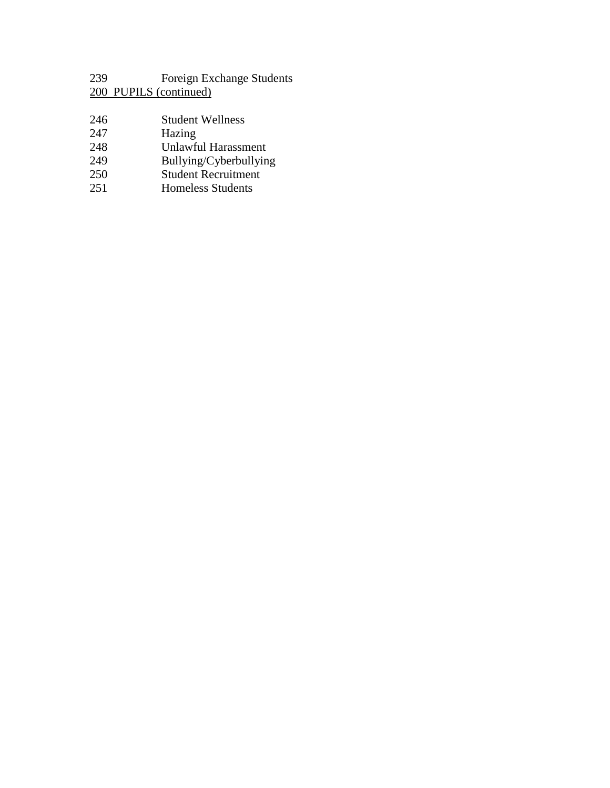Foreign Exchange Students 200 PUPILS (continued)

- Student Wellness
- 247 Hazing<br>248 Unlawfu
- 248 Unlawful Harassment<br>249 Bullying/Cyberbullyin
- Bullying/Cyberbullying
- Student Recruitment
- Homeless Students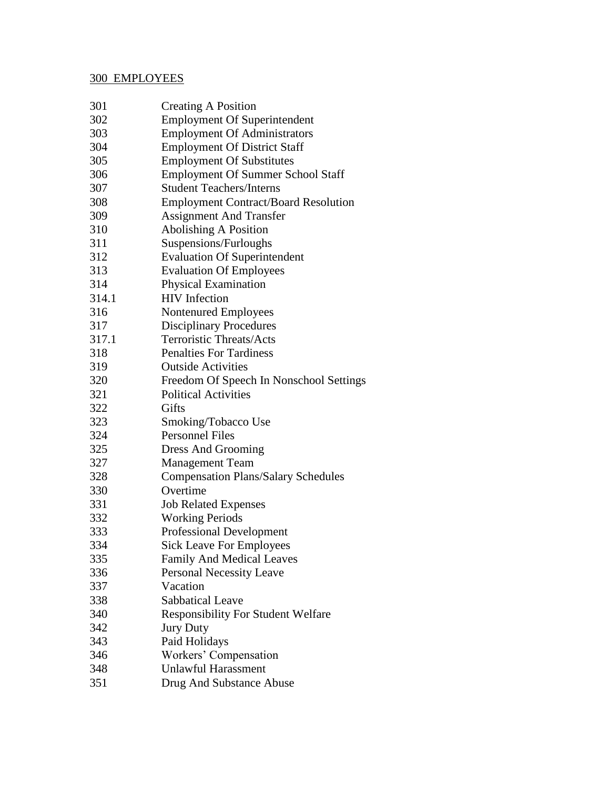## 300 EMPLOYEES

| 301   | <b>Creating A Position</b>                  |
|-------|---------------------------------------------|
| 302   | <b>Employment Of Superintendent</b>         |
| 303   | <b>Employment Of Administrators</b>         |
| 304   | <b>Employment Of District Staff</b>         |
| 305   | <b>Employment Of Substitutes</b>            |
| 306   | <b>Employment Of Summer School Staff</b>    |
| 307   | <b>Student Teachers/Interns</b>             |
| 308   | <b>Employment Contract/Board Resolution</b> |
| 309   | <b>Assignment And Transfer</b>              |
| 310   | <b>Abolishing A Position</b>                |
| 311   | Suspensions/Furloughs                       |
| 312   | <b>Evaluation Of Superintendent</b>         |
| 313   | <b>Evaluation Of Employees</b>              |
| 314   | Physical Examination                        |
| 314.1 | <b>HIV</b> Infection                        |
| 316   | Nontenured Employees                        |
| 317   | <b>Disciplinary Procedures</b>              |
| 317.1 | <b>Terroristic Threats/Acts</b>             |
| 318   | <b>Penalties For Tardiness</b>              |
| 319   | <b>Outside Activities</b>                   |
| 320   | Freedom Of Speech In Nonschool Settings     |
| 321   | <b>Political Activities</b>                 |
| 322   | Gifts                                       |
| 323   | Smoking/Tobacco Use                         |
| 324   | <b>Personnel Files</b>                      |
| 325   | Dress And Grooming                          |
| 327   | <b>Management Team</b>                      |
| 328   | <b>Compensation Plans/Salary Schedules</b>  |
| 330   | Overtime                                    |
| 331   | <b>Job Related Expenses</b>                 |
| 332   | <b>Working Periods</b>                      |
| 333   | <b>Professional Development</b>             |
| 334   | <b>Sick Leave For Employees</b>             |
| 335   | <b>Family And Medical Leaves</b>            |
| 336   | <b>Personal Necessity Leave</b>             |
| 337   | Vacation                                    |
| 338   | <b>Sabbatical Leave</b>                     |
| 340   | <b>Responsibility For Student Welfare</b>   |
| 342   | <b>Jury Duty</b>                            |
| 343   | Paid Holidays                               |
| 346   | Workers' Compensation                       |
| 348   | <b>Unlawful Harassment</b>                  |
| 351   | Drug And Substance Abuse                    |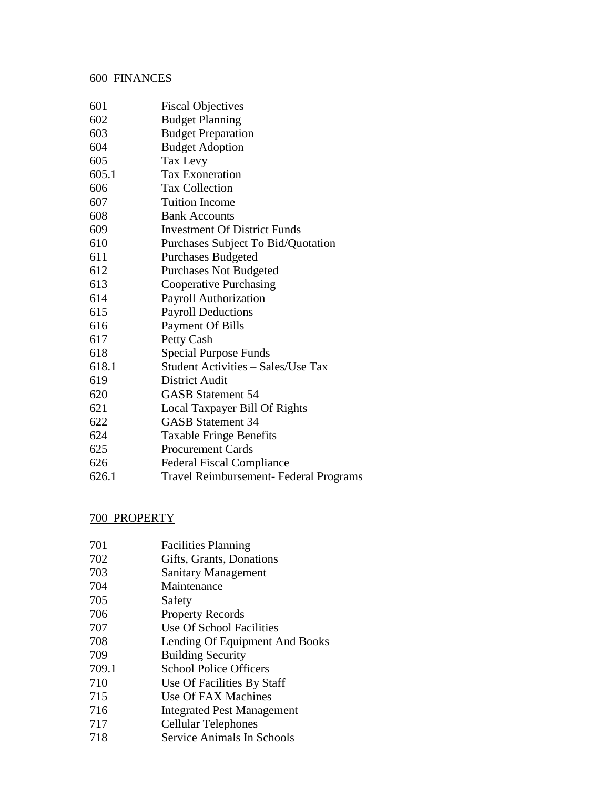### 600 FINANCES

| 601   | <b>Fiscal Objectives</b>                      |
|-------|-----------------------------------------------|
| 602   | <b>Budget Planning</b>                        |
| 603   | <b>Budget Preparation</b>                     |
| 604   | <b>Budget Adoption</b>                        |
| 605   | Tax Levy                                      |
| 605.1 | <b>Tax Exoneration</b>                        |
| 606   | <b>Tax Collection</b>                         |
| 607   | <b>Tuition Income</b>                         |
| 608   | <b>Bank Accounts</b>                          |
| 609   | <b>Investment Of District Funds</b>           |
| 610   | Purchases Subject To Bid/Quotation            |
| 611   | <b>Purchases Budgeted</b>                     |
| 612   | <b>Purchases Not Budgeted</b>                 |
| 613   | Cooperative Purchasing                        |
| 614   | Payroll Authorization                         |
| 615   | <b>Payroll Deductions</b>                     |
| 616   | <b>Payment Of Bills</b>                       |
| 617   | Petty Cash                                    |
| 618   | Special Purpose Funds                         |
| 618.1 | Student Activities - Sales/Use Tax            |
| 619   | District Audit                                |
| 620   | <b>GASB Statement 54</b>                      |
| 621   | Local Taxpayer Bill Of Rights                 |
| 622   | <b>GASB Statement 34</b>                      |
| 624   | <b>Taxable Fringe Benefits</b>                |
| 625   | <b>Procurement Cards</b>                      |
| 626   | <b>Federal Fiscal Compliance</b>              |
| 626.1 | <b>Travel Reimbursement- Federal Programs</b> |

### 700 PROPERTY

- Gifts, Grants, Donations
- Sanitary Management
- Maintenance
- Safety
- Property Records
- Use Of School Facilities
- Lending Of Equipment And Books
- Building Security
- 709.1 School Police Officers
- Use Of Facilities By Staff
- Use Of FAX Machines
- Integrated Pest Management
- Cellular Telephones
- Service Animals In Schools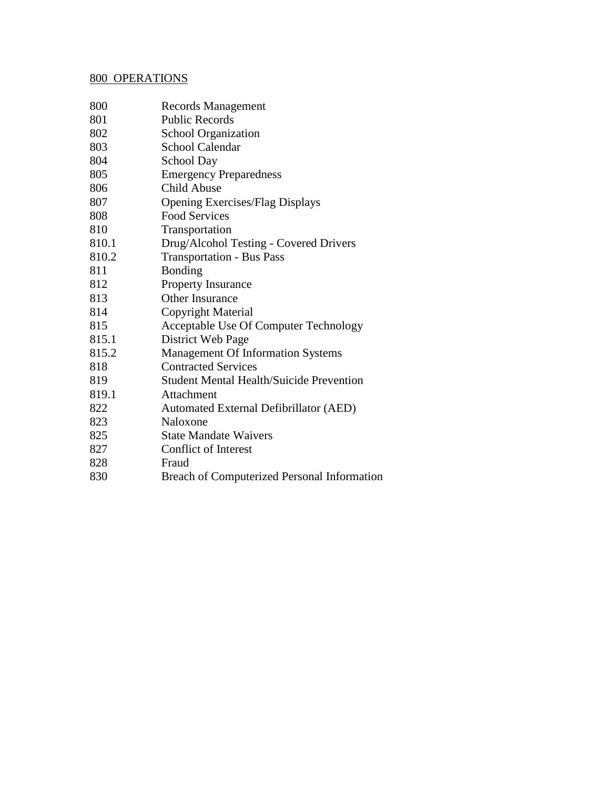#### 800 OPERATIONS

- Records Management
- Public Records
- School Organization
- School Calendar
- School Day
- Emergency Preparedness
- Child Abuse
- Opening Exercises/Flag Displays
- Food Services
- Transportation
- 810.1 Drug/Alcohol Testing Covered Drivers
- 810.2 Transportation Bus Pass
- Bonding
- Property Insurance
- Other Insurance
- Copyright Material
- Acceptable Use Of Computer Technology
- 815.1 District Web Page
- 815.2 Management Of Information Systems
- Contracted Services
- Student Mental Health/Suicide Prevention
- 819.1 Attachment
- Automated External Defibrillator (AED)
- 823 Naloxone
- State Mandate Waivers
- Conflict of Interest
- Fraud
- Breach of Computerized Personal Information